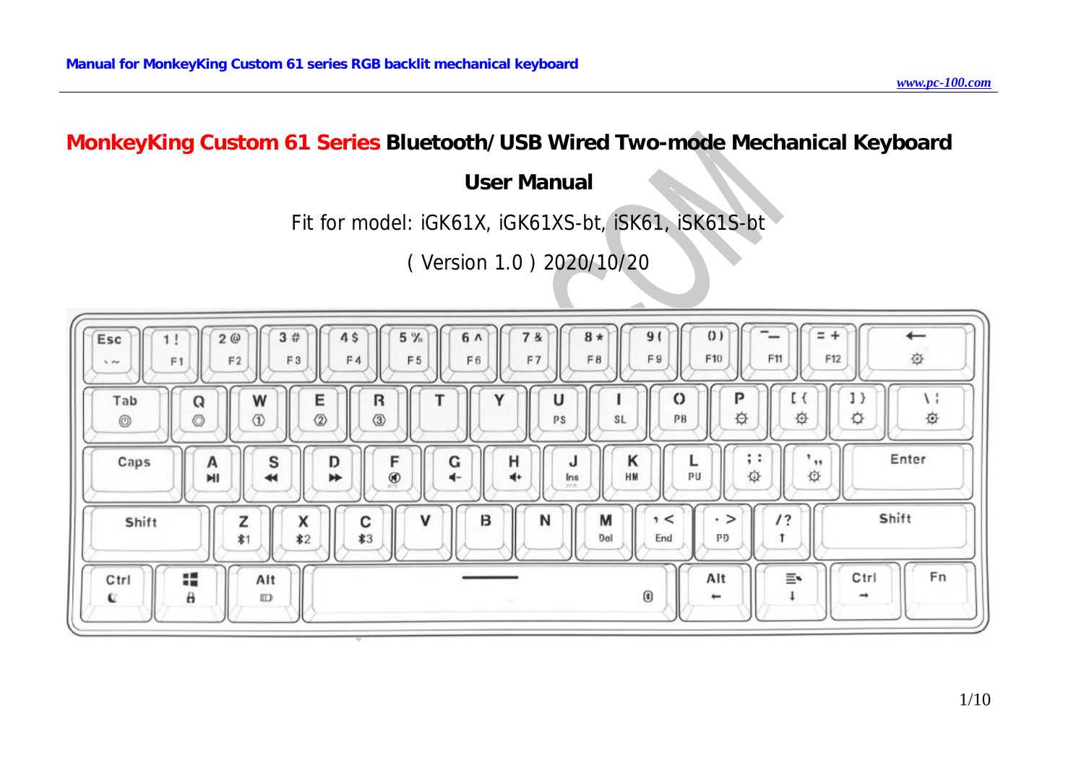# **MonkeyKing Custom 61 Series Bluetooth/USB Wired Two-mode Mechanical Keyboard**

# **User Manual**

# Fit for model: iGK61X, iGK61XS-bt, iSK61, iSK61S-bt

( Version 1.0 ) 2020/10/20

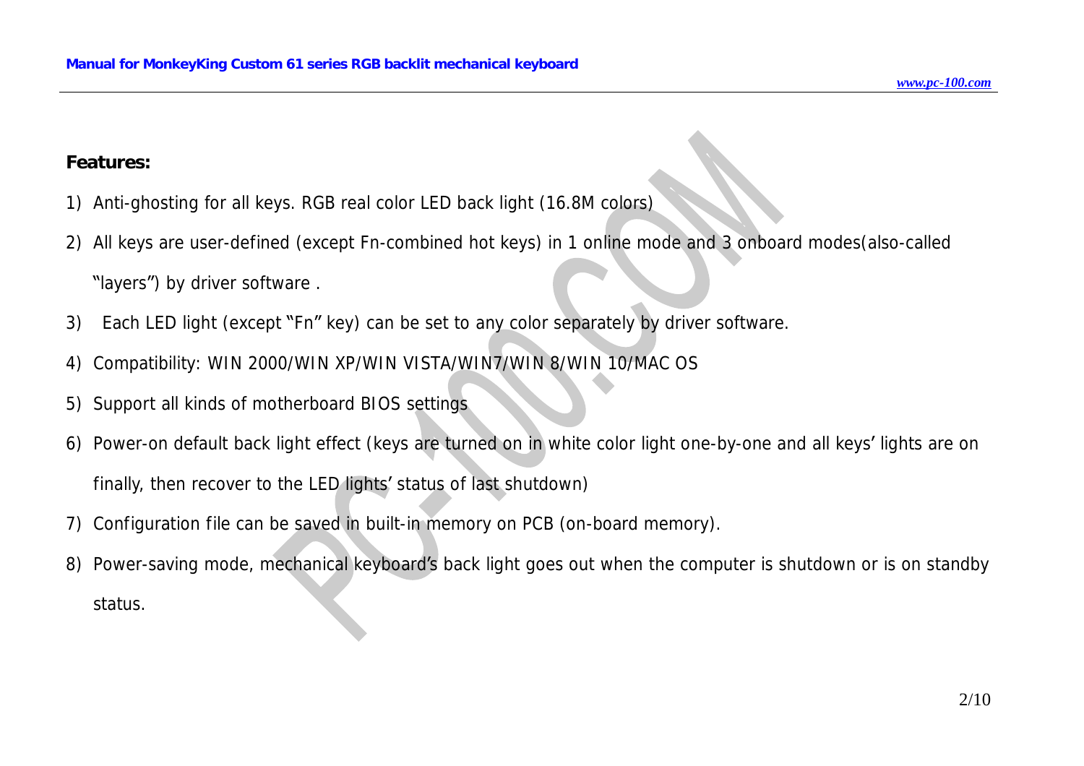#### **Features:**

- 1) Anti-ghosting for all keys. RGB real color LED back light (16.8M colors)
- 2) All keys are user-defined (except Fn-combined hot keys) in 1 online mode and 3 onboard modes(also-called
	- "layers") by driver software .
- 3) Each LED light (except "Fn" key) can be set to any color separately by driver software.
- 4) Compatibility: WIN 2000/WIN XP/WIN VISTA/WIN7/WIN 8/WIN 10/MAC OS
- 5) Support all kinds of motherboard BIOS settings
- 6) Power-on default back light effect (keys are turned on in white color light one-by-one and all keys' lights are on finally, then recover to the LED lights' status of last shutdown)
- 7) Configuration file can be saved in built-in memory on PCB (on-board memory).
- 8) Power-saving mode, mechanical keyboard's back light goes out when the computer is shutdown or is on standby status.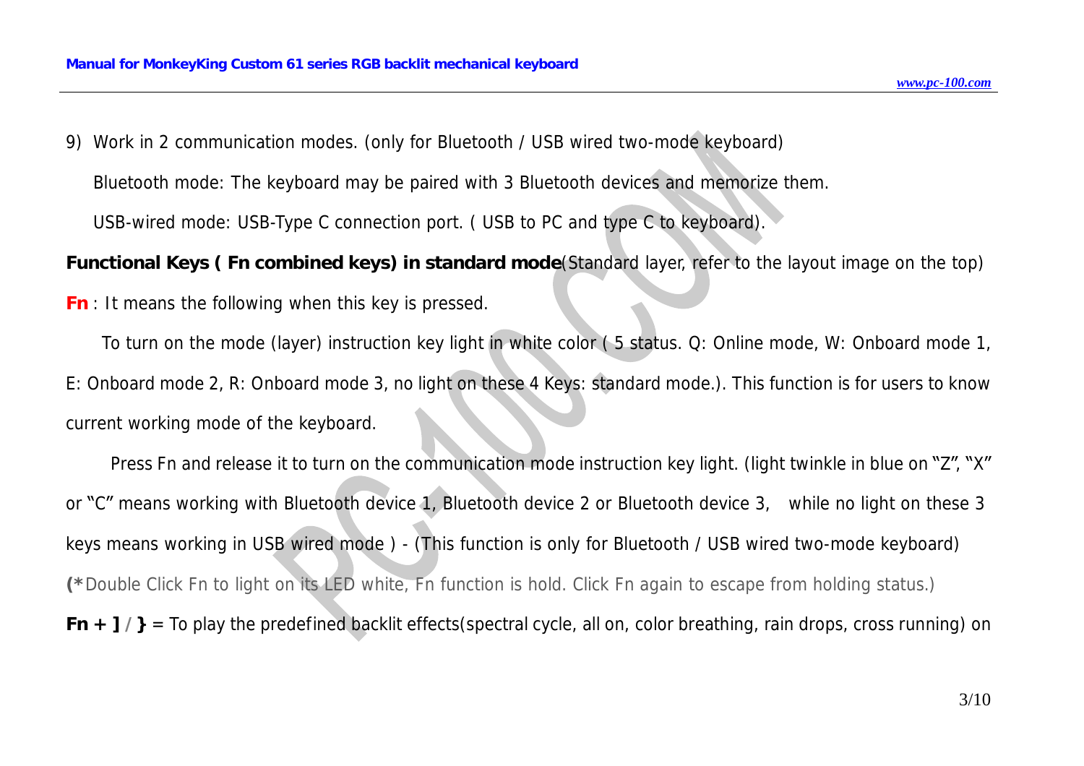9) Work in 2 communication modes. (only for Bluetooth / USB wired two-mode keyboard)

Bluetooth mode: The keyboard may be paired with 3 Bluetooth devices and memorize them.

USB-wired mode: USB-Type C connection port. ( USB to PC and type C to keyboard).

Functional Keys (Fn combined keys) in standard mode (Standard layer, refer to the layout image on the top)

*Fn* : It means the following when this key is pressed.

To turn on the mode (layer) instruction key light in white color ( 5 status. Q: Online mode, W: Onboard mode 1, E: Onboard mode 2, R: Onboard mode 3, no light on these 4 Keys: standard mode.). This function is for users to know current working mode of the keyboard.

 Press Fn and release it to turn on the communication mode instruction key light. (light twinkle in blue on "Z", "X" or "C" means working with Bluetooth device 1, Bluetooth device 2 or Bluetooth device 3, while no light on these 3 keys means working in USB wired mode ) - (This function is only for Bluetooth / USB wired two-mode keyboard) (\*Double Click Fn to light on its LED white, Fn function is hold. Click Fn again to escape from holding status.) *Fn*  $+$   $7/$ } = To play the predefined backlit effects(spectral cycle, all on, color breathing, rain drops, cross running) on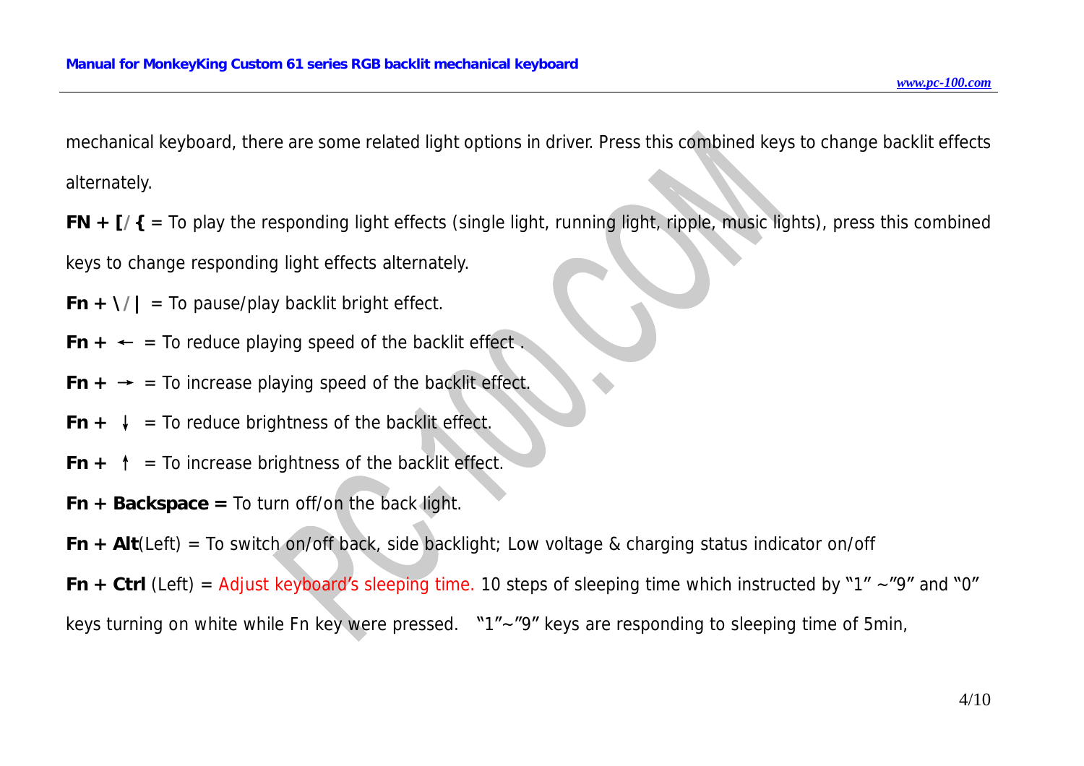mechanical keyboard, there are some related light options in driver. Press this combined keys to change backlit effects alternately.

*FN + [/{* = To play the responding light effects (single light, running light, ripple, music lights), press this combined keys to change responding light effects alternately.

*Fn* +  $\frac{1}{4}$  = To pause/play backlit bright effect.

 $Fn + \leftarrow$  = To reduce playing speed of the backlit effect.

- *Fn*  $\div$   $\div$  = To increase playing speed of the backlit effect.
- $Fn + \downarrow$  = To reduce brightness of the backlit effect.
- *Fn*  $+$   $\uparrow$  = To increase brightness of the backlit effect.
- *Fn + Backspace =* To turn off/on the back light.

*Fn + Alt*(Left) = To switch on/off back, side backlight; Low voltage & charging status indicator on/off

*Fn*  $+$  *Ctrl* (Left) = Adjust keyboard's sleeping time. 10 steps of sleeping time which instructed by "1" ~"9" and "0" keys turning on white while Fn key were pressed. "1"~"9" keys are responding to sleeping time of 5min,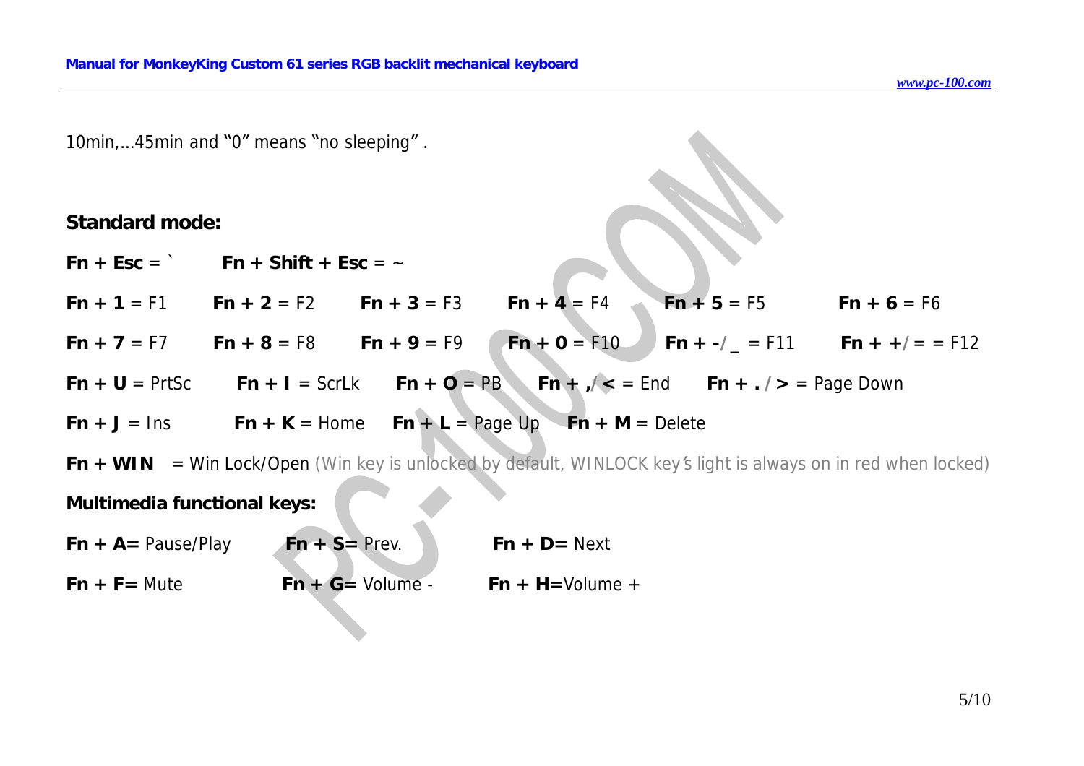10min,…45min and "0" means "no sleeping" .

#### **Standard mode:**

*Fn + Esc* = ` *Fn + Shift + Esc* = ~

*Fn + 1* = F1 *Fn + 2* = F2 *Fn + 3* = F3 *Fn + 4* = F4 *Fn + 5* = F5 *Fn + 6* = F6

*Fn + 7* = F7 *Fn + 8* = F8 *Fn + 9* = F9 *Fn + 0* = F10 *Fn + -/\_* = F11 *Fn + +/*= = F12

*Fn* + *U* = PrtSc *Fn* + *I* = ScrLk *Fn* + *O* = PB *Fn* +  $\frac{1}{2}$  = End *Fn* +  $\frac{1}{2}$  = Page Down

$$
Fn + J = Ins \qquad Fn + K = Home \qquad Fn + L = Page Up \qquad Fn + M = Delete
$$

 $Fn + WIN = Win Lock/Open (Win key is unlocked by default, WINLOCK key's light is always on in red when locked)$ 

**Multimedia functional keys:** 

 $Fn + A = \text{Pause/Play}$   $Fn + S = \text{Prev}.$   $Fn + D = \text{Next}$  $Fn + F =$  Mute  $Fn + G =$  Volume -  $Fn + H =$ Volume +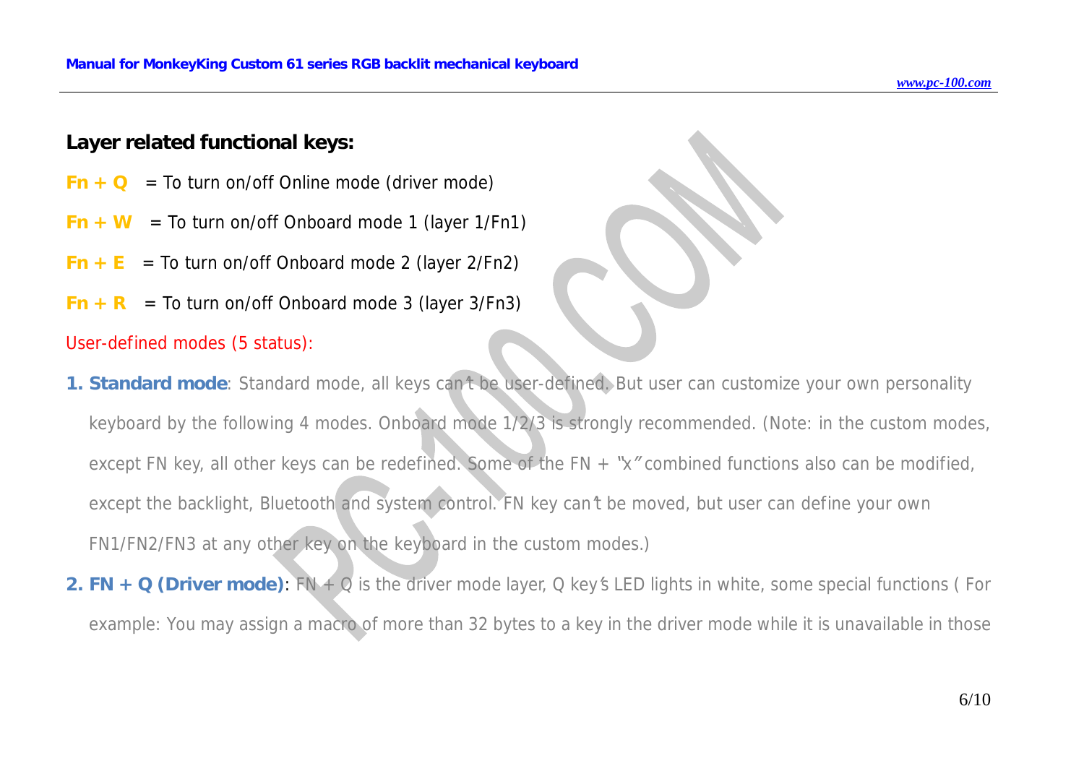### **Layer related functional keys:**

- $Fn + Q = To turn on/off Online mode (driver mode)$
- $Fn + W = To turn on/off Onboard mode 1 (layer 1/Fn1)$
- $Fn + E = To turn on/off Onboard mode 2 (layer 2/Fn2)$
- $Fn + R$  = To turn on/off Onboard mode 3 (layer 3/Fn3)

#### *User-defined modes (5 status):*

- 1. Standard mode: Standard mode, all keys can't be user-defined. But user can customize your own personality *keyboard by the following 4 modes. Onboard mode 1/2/3 is strongly recommended. (Note: in the custom modes,*  except FN key, all other keys can be redefined. Some of the FN  $+$  "x" combined functions also can be modified, except the backlight, Bluetooth and system control. FN key can't be moved, but user can define your own *FN1/FN2/FN3 at any other key on the keyboard in the custom modes.)*
- 2. FN + Q (Driver mode):  $FN + Q$  is the driver mode layer, Q key's LED lights in white, some special functions (For example: You may assign a macro of more than 32 bytes to a key in the driver mode while it is unavailable in those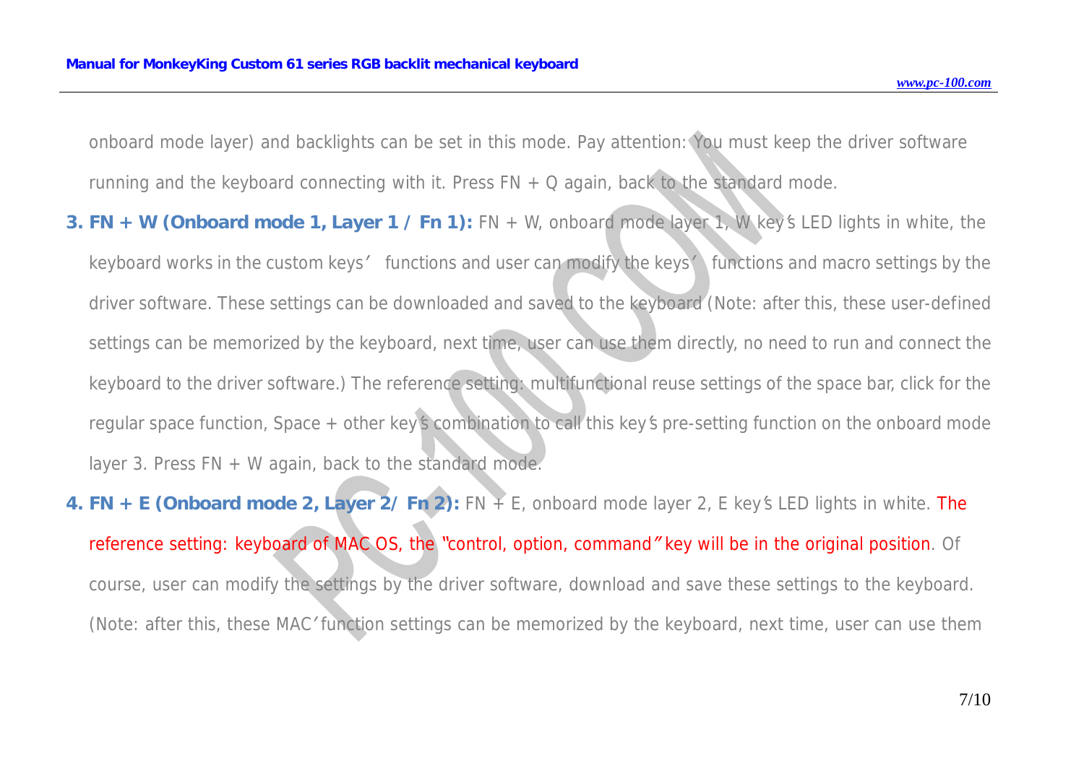onboard mode layer) and backlights can be set in this mode. Pay attention: You must keep the driver software *running and the keyboard connecting with it. Press FN + Q again, back to the standard mode.* 

- 3. FN + W (Onboard mode 1, Layer  $1$  / Fn 1): FN + W, onboard mode layer 1, W key's LED lights in white, the keyboard works in the custom keys' functions and user can modify the keys' functions and macro settings by the driver software. These settings can be downloaded and saved to the keyboard (Note: after this, these user-defined settings can be memorized by the keyboard, next time, user can use them directly, no need to run and connect the keyboard to the driver software.) The reference setting: multifunctional reuse settings of the space bar, click for the regular space function, Space + other key's combination to call this key's pre-setting function on the onboard mode *layer 3. Press FN + W again, back to the standard mode.*
- 4. FN + E (Onboard mode 2, Layer 2/ Fn 2): FN + E, onboard mode layer 2, E key's LED lights in white. The reference setting: keyboard of MAC OS, the "control, option, command" key will be in the original position. Of course, user can modify the settings by the driver software, download and save these settings to the keyboard. (Note: after this, these MAC' function settings can be memorized by the keyboard, next time, user can use them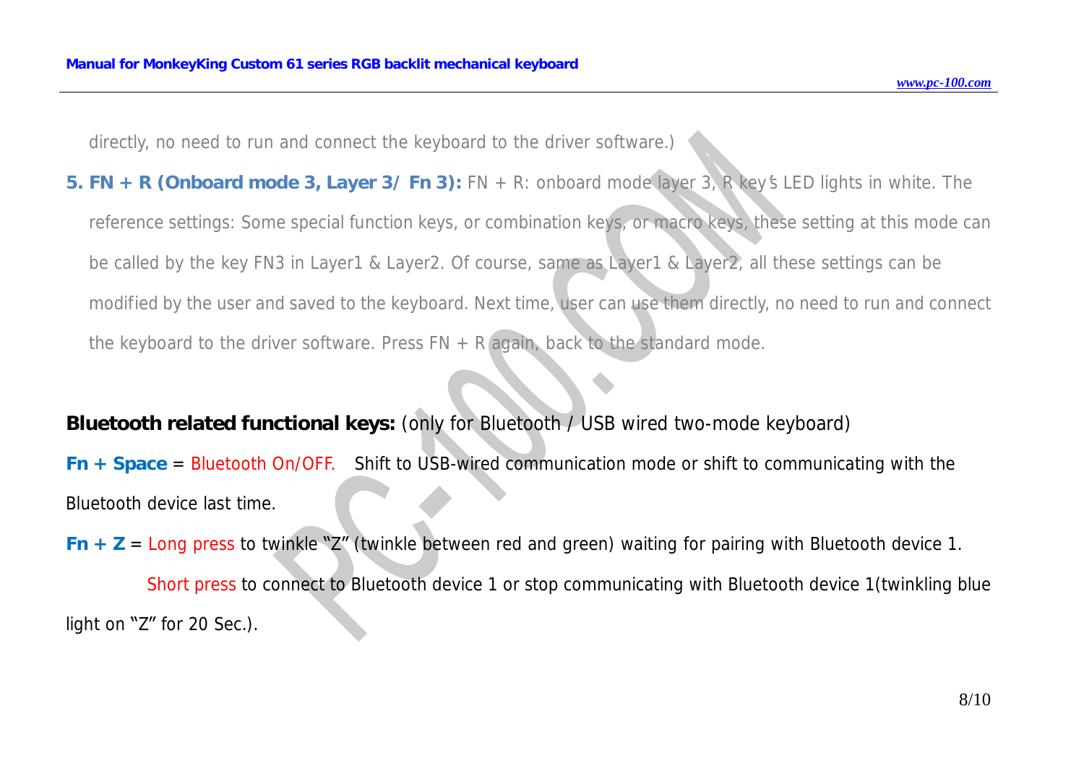*directly, no need to run and connect the keyboard to the driver software.)*

5. FN + R (Onboard mode 3, Layer 3/Fn 3): FN + R: onboard mode layer 3, R key's LED lights in white. The reference settings: Some special function keys, or combination keys, or macro keys, these setting at this mode can be called by the key FN3 in Layer1 & Layer2. Of course, same as Layer1 & Layer2, all these settings can be modified by the user and saved to the keyboard. Next time, user can use them directly, no need to run and connect *the keyboard to the driver software. Press FN + R again, back to the standard mode.*

### **Bluetooth related functional keys:** (only for Bluetooth / USB wired two-mode keyboard)

*Fn + Space* = Bluetooth On/OFF. Shift to USB-wired communication mode or shift to communicating with the Bluetooth device last time.

*Fn + Z* = Long press to twinkle "Z" (twinkle between red and green) waiting for pairing with Bluetooth device 1.

Short press to connect to Bluetooth device 1 or stop communicating with Bluetooth device 1(twinkling blue light on "Z" for 20 Sec.).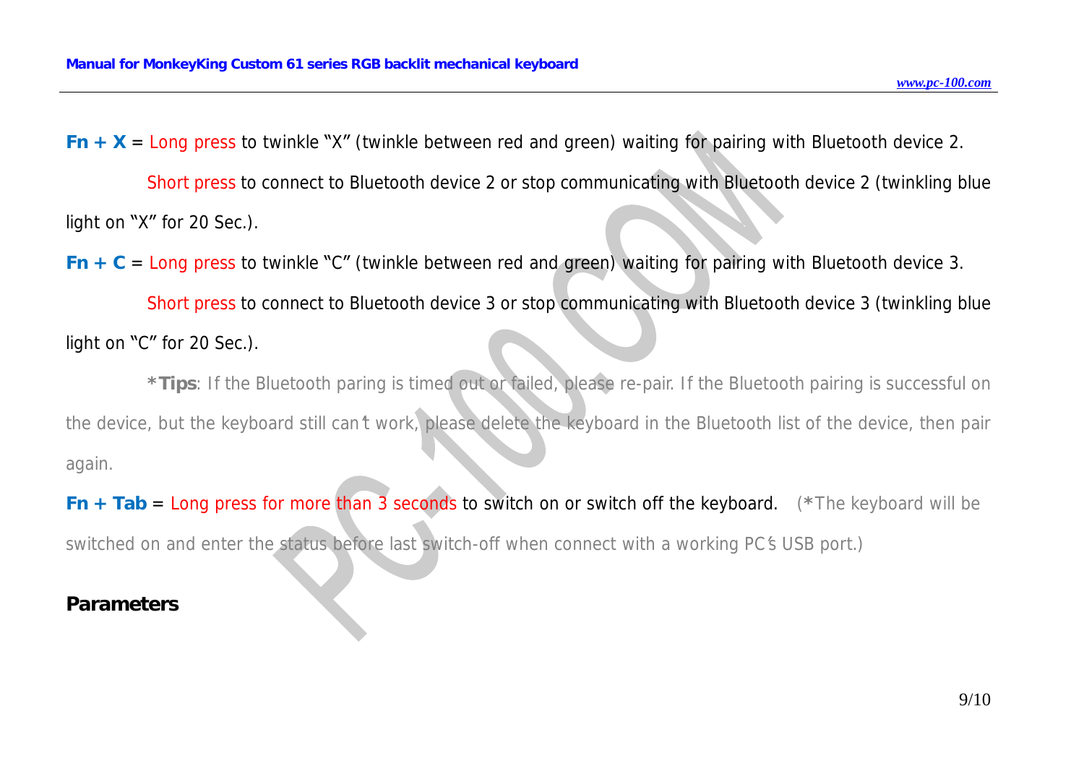*Fn*  $+$  *X* = Long press to twinkle "X" (twinkle between red and green) waiting for pairing with Bluetooth device 2.

Short press to connect to Bluetooth device 2 or stop communicating with Bluetooth device 2 (twinkling blue light on "X" for 20 Sec.).

*Fn*  $+$  *C* = Long press to twinkle "C" (twinkle between red and green) waiting for pairing with Bluetooth device 3.

Short press to connect to Bluetooth device 3 or stop communicating with Bluetooth device 3 (twinkling blue light on "C" for 20 Sec.).

\*Tips: If the Bluetooth paring is timed out or failed, please re-pair. If the Bluetooth pairing is successful on the device, but the keyboard still can't work, please delete the keyboard in the Bluetooth list of the device, then pair *again.* 

*Fn + Tab* = Long press for more than 3 seconds to switch on or switch off the keyboard. *(\*The keyboard will be*  switched on and enter the status before last switch-off when connect with a working PC's USB port.)

## **Parameters**